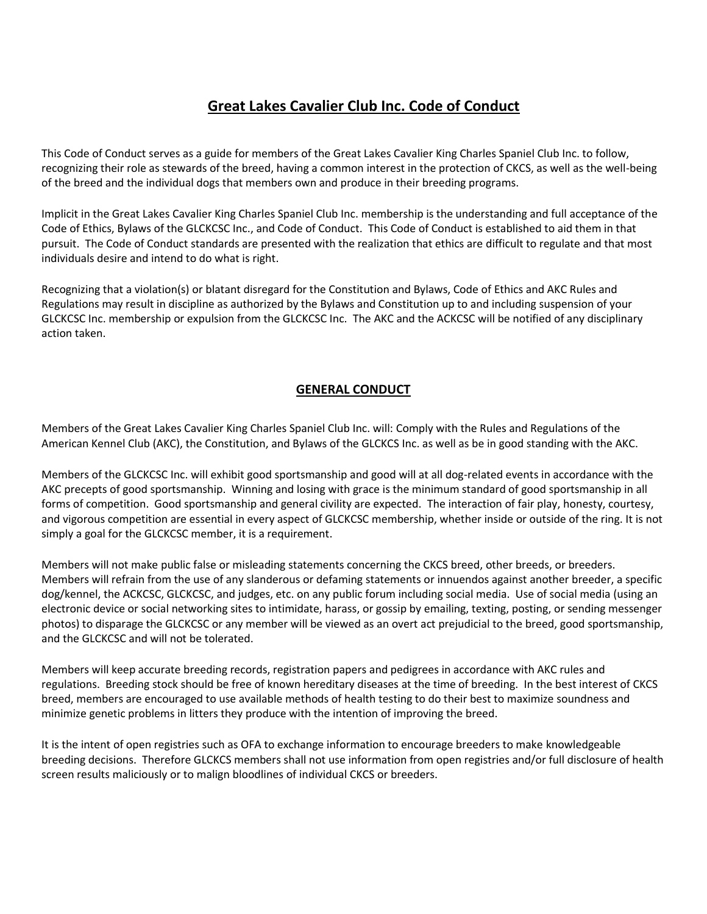## **Great Lakes Cavalier Club Inc. Code of Conduct**

This Code of Conduct serves as a guide for members of the Great Lakes Cavalier King Charles Spaniel Club Inc. to follow, recognizing their role as stewards of the breed, having a common interest in the protection of CKCS, as well as the well-being of the breed and the individual dogs that members own and produce in their breeding programs.

Implicit in the Great Lakes Cavalier King Charles Spaniel Club Inc. membership is the understanding and full acceptance of the Code of Ethics, Bylaws of the GLCKCSC Inc., and Code of Conduct. This Code of Conduct is established to aid them in that pursuit. The Code of Conduct standards are presented with the realization that ethics are difficult to regulate and that most individuals desire and intend to do what is right.

Recognizing that a violation(s) or blatant disregard for the Constitution and Bylaws, Code of Ethics and AKC Rules and Regulations may result in discipline as authorized by the Bylaws and Constitution up to and including suspension of your GLCKCSC Inc. membership or expulsion from the GLCKCSC Inc. The AKC and the ACKCSC will be notified of any disciplinary action taken.

## **GENERAL CONDUCT**

Members of the Great Lakes Cavalier King Charles Spaniel Club Inc. will: Comply with the Rules and Regulations of the American Kennel Club (AKC), the Constitution, and Bylaws of the GLCKCS Inc. as well as be in good standing with the AKC.

Members of the GLCKCSC Inc. will exhibit good sportsmanship and good will at all dog-related events in accordance with the AKC precepts of good sportsmanship. Winning and losing with grace is the minimum standard of good sportsmanship in all forms of competition. Good sportsmanship and general civility are expected. The interaction of fair play, honesty, courtesy, and vigorous competition are essential in every aspect of GLCKCSC membership, whether inside or outside of the ring. It is not simply a goal for the GLCKCSC member, it is a requirement.

Members will not make public false or misleading statements concerning the CKCS breed, other breeds, or breeders. Members will refrain from the use of any slanderous or defaming statements or innuendos against another breeder, a specific dog/kennel, the ACKCSC, GLCKCSC, and judges, etc. on any public forum including social media. Use of social media (using an electronic device or social networking sites to intimidate, harass, or gossip by emailing, texting, posting, or sending messenger photos) to disparage the GLCKCSC or any member will be viewed as an overt act prejudicial to the breed, good sportsmanship, and the GLCKCSC and will not be tolerated.

Members will keep accurate breeding records, registration papers and pedigrees in accordance with AKC rules and regulations. Breeding stock should be free of known hereditary diseases at the time of breeding. In the best interest of CKCS breed, members are encouraged to use available methods of health testing to do their best to maximize soundness and minimize genetic problems in litters they produce with the intention of improving the breed.

It is the intent of open registries such as OFA to exchange information to encourage breeders to make knowledgeable breeding decisions. Therefore GLCKCS members shall not use information from open registries and/or full disclosure of health screen results maliciously or to malign bloodlines of individual CKCS or breeders.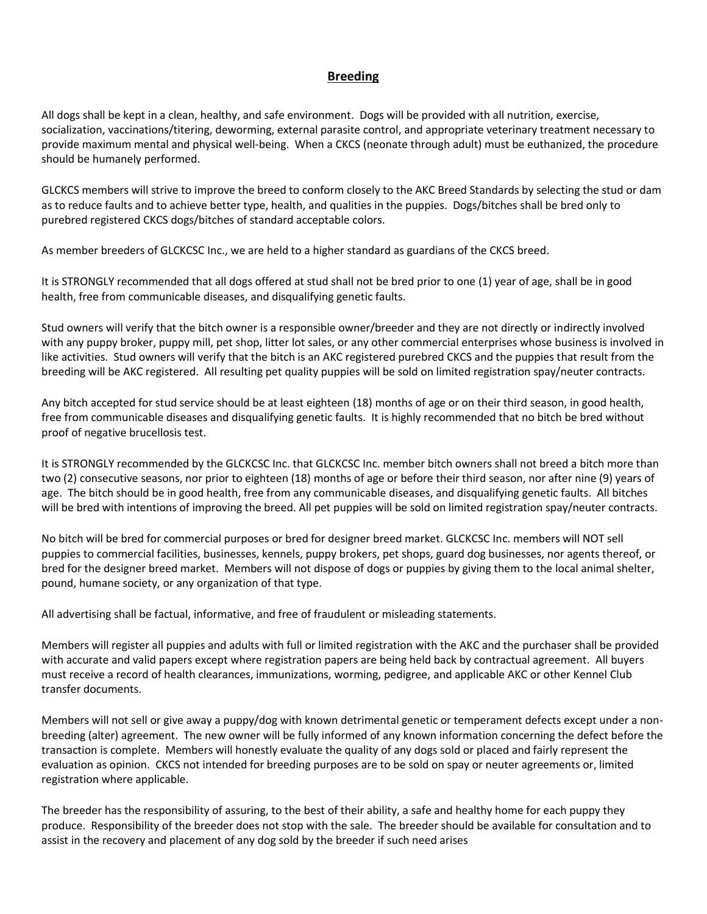## **Breeding**

All dogs shall be kept in a clean, healthy, and safe environment. Dogs will be provided with all nutrition, exercise, socialization, vaccinations/titering, deworming, external parasite control, and appropriate veterinary treatment necessary to provide maximum mental and physical well-being. When a CKCS (neonate through adult) must be euthanized, the procedure should be humanely performed.

GLCKCS members will strive to improve the breed to conform closely to the AKC Breed Standards by selecting the stud or dam as to reduce faults and to achieve better type, health, and qualities in the puppies. Dogs/bitches shall be bred only to purebred registered CKCS dogs/bitches of standard acceptable colors.

As member breeders of GLCKCSC Inc., we are held to a higher standard as guardians of the CKCS breed.

It is STRONGLY recommended that all dogs offered at stud shall not be bred prior to one (1) year of age, shall be in good health, free from communicable diseases, and disqualifying genetic faults.

Stud owners will verify that the bitch owner is a responsible owner/breeder and they are not directly or indirectly involved with any puppy broker, puppy mill, pet shop, litter lot sales, or any other commercial enterprises whose business is involved in like activities. Stud owners will verify that the bitch is an AKC registered purebred CKCS and the puppies that result from the breeding will be AKC registered. All resulting pet quality puppies will be sold on limited registration spay/neuter contracts.

Any bitch accepted for stud service should be at least eighteen (18) months of age or on their third season, in good health, free from communicable diseases and disqualifying genetic faults. It is highly recommended that no bitch be bred without proof of negative brucellosis test.

It is STRONGLY recommended by the GLCKCSC Inc. that GLCKCSC Inc. member bitch owners shall not breed a bitch more than two (2) consecutive seasons, nor prior to eighteen (18) months of age or before their third season, nor after nine (9) years of age. The bitch should be in good health, free from any communicable diseases, and disqualifying genetic faults. All bitches will be bred with intentions of improving the breed. All pet puppies will be sold on limited registration spay/neuter contracts.

No bitch will be bred for commercial purposes or bred for designer breed market. GLCKCSC Inc. members will NOT sell puppies to commercial facilities, businesses, kennels, puppy brokers, pet shops, guard dog businesses, nor agents thereof, or bred for the designer breed market. Members will not dispose of dogs or puppies by giving them to the local animal shelter, pound, humane society, or any organization of that type.

All advertising shall be factual, informative, and free of fraudulent or misleading statements.

Members will register all puppies and adults with full or limited registration with the AKC and the purchaser shall be provided with accurate and valid papers except where registration papers are being held back by contractual agreement. All buyers must receive a record of health clearances, immunizations, worming, pedigree, and applicable AKC or other Kennel Club transfer documents.

Members will not sell or give away a puppy/dog with known detrimental genetic or temperament defects except under a nonbreeding (alter) agreement. The new owner will be fully informed of any known information concerning the defect before the transaction is complete. Members will honestly evaluate the quality of any dogs sold or placed and fairly represent the evaluation as opinion. CKCS not intended for breeding purposes are to be sold on spay or neuter agreements or, limited registration where applicable.

The breeder has the responsibility of assuring, to the best of their ability, a safe and healthy home for each puppy they produce. Responsibility of the breeder does not stop with the sale. The breeder should be available for consultation and to assist in the recovery and placement of any dog sold by the breeder if such need arises